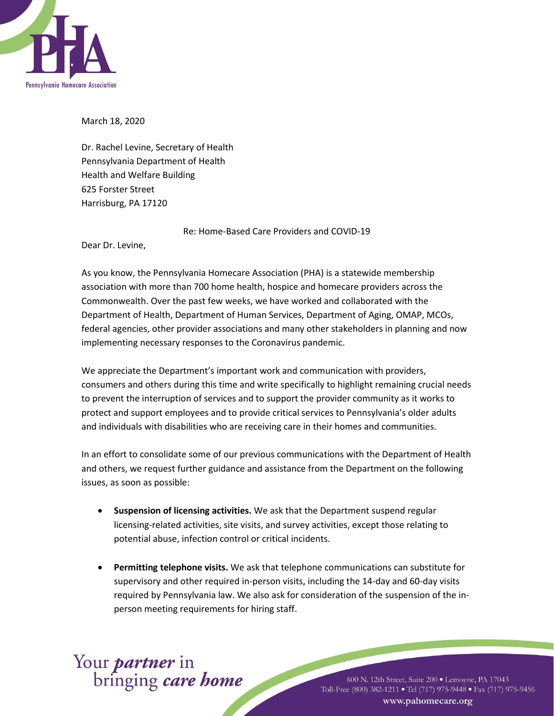

March 18, 2020

Dr. Rachel Levine, Secretary of Health Pennsylvania Department of Health Health and Welfare Building 625 Forster Street Harrisburg, PA 17120

Re: Home-Based Care Providers and COVID-19

Dear Dr. Levine,

As you know, the Pennsylvania Homecare Association (PHA) is a statewide membership association with more than 700 home health, hospice and homecare providers across the Commonwealth. Over the past few weeks, we have worked and collaborated with the Department of Health, Department of Human Services, Department of Aging, OMAP, MCOs, federal agencies, other provider associations and many other stakeholders in planning and now implementing necessary responses to the Coronavirus pandemic.

We appreciate the Department's important work and communication with providers, consumers and others during this time and write specifically to highlight remaining crucial needs to prevent the interruption of services and to support the provider community as it works to protect and support employees and to provide critical services to Pennsylvania's older adults and individuals with disabilities who are receiving care in their homes and communities.

In an effort to consolidate some of our previous communications with the Department of Health and others, we request further guidance and assistance from the Department on the following issues, as soon as possible:

- **Suspension of licensing activities.** We ask that the Department suspend regular licensing-related activities, site visits, and survey activities, except those relating to potential abuse, infection control or critical incidents.
- **Permitting telephone visits.** We ask that telephone communications can substitute for supervisory and other required in-person visits, including the 14-day and 60-day visits required by Pennsylvania law. We also ask for consideration of the suspension of the inperson meeting requirements for hiring staff.

## Your *partner* in<br>bringing *care home*

600 N. 12th Street, Suite 200 · Lemoyne, PA 17043 Toll-Free (800) 382-1211 • Tel (717) 975-9448 • Fax (717) 975-9456 www.pahomecare.org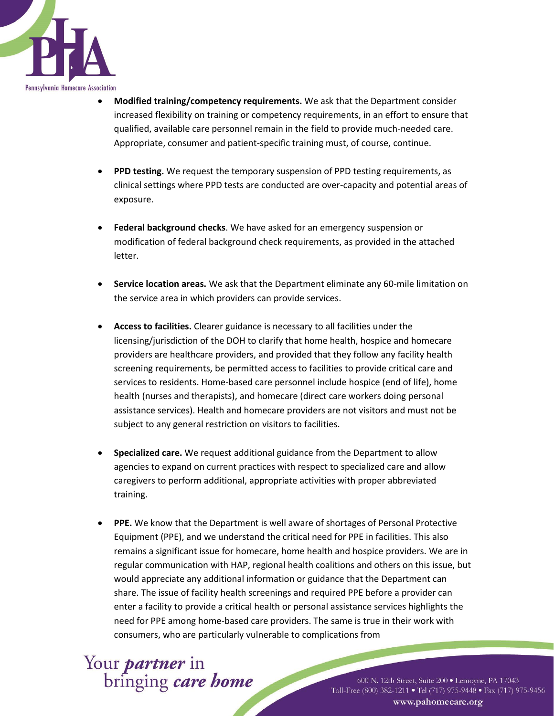

- **Modified training/competency requirements.** We ask that the Department consider increased flexibility on training or competency requirements, in an effort to ensure that qualified, available care personnel remain in the field to provide much-needed care. Appropriate, consumer and patient-specific training must, of course, continue.
- **PPD testing.** We request the temporary suspension of PPD testing requirements, as clinical settings where PPD tests are conducted are over-capacity and potential areas of exposure.
- **Federal background checks**. We have asked for an emergency suspension or modification of federal background check requirements, as provided in the attached letter.
- **Service location areas.** We ask that the Department eliminate any 60-mile limitation on the service area in which providers can provide services.
- **Access to facilities.** Clearer guidance is necessary to all facilities under the licensing/jurisdiction of the DOH to clarify that home health, hospice and homecare providers are healthcare providers, and provided that they follow any facility health screening requirements, be permitted access to facilities to provide critical care and services to residents. Home-based care personnel include hospice (end of life), home health (nurses and therapists), and homecare (direct care workers doing personal assistance services). Health and homecare providers are not visitors and must not be subject to any general restriction on visitors to facilities.
- **Specialized care.** We request additional guidance from the Department to allow agencies to expand on current practices with respect to specialized care and allow caregivers to perform additional, appropriate activities with proper abbreviated training.
- **PPE.** We know that the Department is well aware of shortages of Personal Protective Equipment (PPE), and we understand the critical need for PPE in facilities. This also remains a significant issue for homecare, home health and hospice providers. We are in regular communication with HAP, regional health coalitions and others on this issue, but would appreciate any additional information or guidance that the Department can share. The issue of facility health screenings and required PPE before a provider can enter a facility to provide a critical health or personal assistance services highlights the need for PPE among home-based care providers. The same is true in their work with consumers, who are particularly vulnerable to complications from

Your *partner* in<br>bringing *care home* 

600 N. 12th Street, Suite 200 · Lemoyne, PA 17043 Toll-Free (800) 382-1211 • Tel (717) 975-9448 • Fax (717) 975-9456 www.pahomecare.org